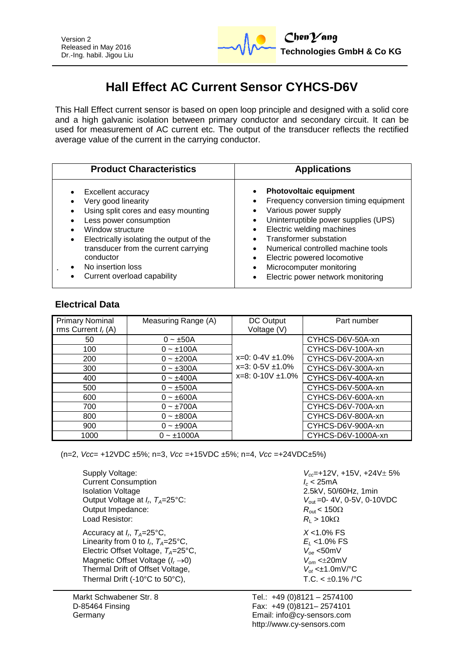

# **Hall Effect AC Current Sensor CYHCS-D6V**

This Hall Effect current sensor is based on open loop principle and designed with a solid core and a high galvanic isolation between primary conductor and secondary circuit. It can be used for measurement of AC current etc. The output of the transducer reflects the rectified average value of the current in the carrying conductor.

| <b>Product Characteristics</b>                                                                                                                                                                                                                                                      | <b>Applications</b>                                                                                                                                                                                                                                                                                                                                                                    |
|-------------------------------------------------------------------------------------------------------------------------------------------------------------------------------------------------------------------------------------------------------------------------------------|----------------------------------------------------------------------------------------------------------------------------------------------------------------------------------------------------------------------------------------------------------------------------------------------------------------------------------------------------------------------------------------|
| Excellent accuracy<br>Very good linearity<br>Using split cores and easy mounting<br>Less power consumption<br>Window structure<br>Electrically isolating the output of the<br>transducer from the current carrying<br>conductor<br>No insertion loss<br>Current overload capability | <b>Photovoltaic equipment</b><br>$\bullet$<br>Frequency conversion timing equipment<br>Various power supply<br>٠<br>Uninterruptible power supplies (UPS)<br>$\bullet$<br>Electric welding machines<br>$\bullet$<br><b>Transformer substation</b><br>Numerical controlled machine tools<br>Electric powered locomotive<br>Microcomputer monitoring<br>Electric power network monitoring |

## **Electrical Data**

| <b>Primary Nominal</b><br>rms Current $I_r(A)$ | Measuring Range (A) | DC Output<br>Voltage (V)                         | Part number        |
|------------------------------------------------|---------------------|--------------------------------------------------|--------------------|
| 50                                             | $0 - \pm 50A$       |                                                  | CYHCS-D6V-50A-xn   |
| 100                                            | $0 - 100A$          | $x=0$ : 0-4V $\pm$ 1.0%<br>$x=3: 0-5V \pm 1.0\%$ | CYHCS-D6V-100A-xn  |
| 200                                            | $0 - \pm 200A$      |                                                  | CYHCS-D6V-200A-xn  |
| 300                                            | $0 - \pm 300A$      |                                                  | CYHCS-D6V-300A-xn  |
| 400                                            | $0 - \pm 400A$      | $x=8: 0-10V \pm 1.0\%$                           | CYHCS-D6V-400A-xn  |
| 500                                            | $0 - \pm 500A$      |                                                  | CYHCS-D6V-500A-xn  |
| 600                                            | $0 - \pm 600A$      |                                                  | CYHCS-D6V-600A-xn  |
| 700                                            | $0 - \pm 700A$      |                                                  | CYHCS-D6V-700A-xn  |
| 800                                            | $0 - \pm 800A$      |                                                  | CYHCS-D6V-800A-xn  |
| 900                                            | $0 - \pm 900A$      |                                                  | CYHCS-D6V-900A-xn  |
| 1000                                           | $0 - \pm 1000A$     |                                                  | CYHCS-D6V-1000A-xn |

(n=2, *Vcc*= +12VDC ±5%; n=3, *Vcc* =+15VDC ±5%; n=4, *Vcc* =+24VDC±5%)

| Supply Voltage:                                     | $V_{cc}$ =+12V, +15V, +24V $\pm$ 5%       |
|-----------------------------------------------------|-------------------------------------------|
| <b>Current Consumption</b>                          | $I_c < 25$ mA                             |
| <b>Isolation Voltage</b>                            | 2.5kV, 50/60Hz, 1min                      |
| Output Voltage at $I_{r}$ , $T_{A}=25^{\circ}$ C:   | $V_{\text{out}} = 0 - 4V$ , 0-5V, 0-10VDC |
| Output Impedance:                                   | $R_{\text{out}}$ < 150 $\Omega$           |
| Load Resistor:                                      | $R_{\rm l} > 10 {\rm k}\Omega$            |
| Accuracy at $I_r$ , $T_A = 25^{\circ}$ C,           | $X < 1.0\%$ FS                            |
| Linearity from 0 to $I_{r}$ , $T_{A}=25^{\circ}$ C, | $E_1$ <1.0% FS                            |
| Electric Offset Voltage, $T_A = 25^{\circ}C$ ,      | $V_{\alpha}$ <50mV                        |
| Magnetic Offset Voltage $(I_r \rightarrow 0)$       | $V_{\alpha m}$ < $\pm$ 20mV               |
| Thermal Drift of Offset Voltage,                    | $V_{\alpha t}$ < $\pm$ 1.0mV/°C           |
| Thermal Drift (-10°C to 50°C),                      | $T.C. < +0.1\%$ /°C                       |

Markt Schwabener Str. 8 D-85464 Finsing **Germany** 

Tel.: +49 (0)8121 – 2574100 Fax: +49 (0)8121– 2574101 Email: info@cy-sensors.com http://www.cy-sensors.com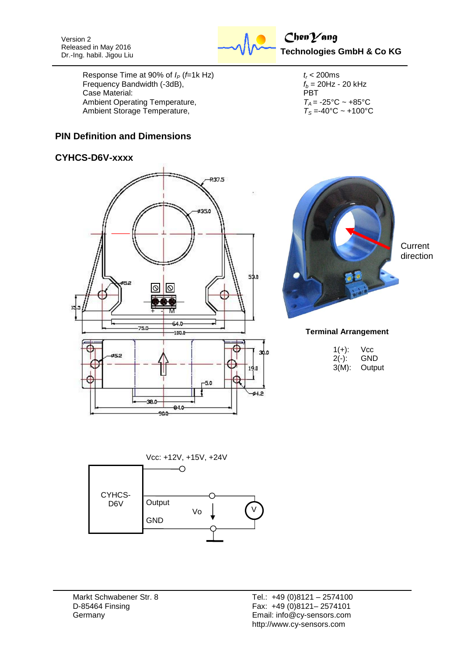Version 2 Released in May 2016 Dr.-Ing. habil. Jigou Liu



Response Time at 90% of  $I_P$  (*f*=1k Hz)  $t_r$  < 200ms<br>Frequency Bandwidth (-3dB),  $f_b = 20$ Hz - 20 kHz Frequency Bandwidth (-3dB),  $f_b = 2$ <br>Case Material: PBT Case Material:<br>Ambient Operating Temperature,<br> $T_A = -25^{\circ}\text{C} \sim +85^{\circ}\text{C}$ Ambient Operating Temperature,  $T_A = -25^{\circ}C \sim +85^{\circ}C$ <br>Ambient Storage Temperature,  $T_S = -40^{\circ}C \sim +100^{\circ}C$ Ambient Storage Temperature,

### **PIN Definition and Dimensions**

#### **CYHCS-D6V-xxxx**





**Current** direction

#### **Terminal Arrangement**

| $1(+)$ : | Vcc    |
|----------|--------|
| $2(-)$ : | GND    |
| $3(M)$ : | Output |



Markt Schwabener Str. 8 D-85464 Finsing Germany